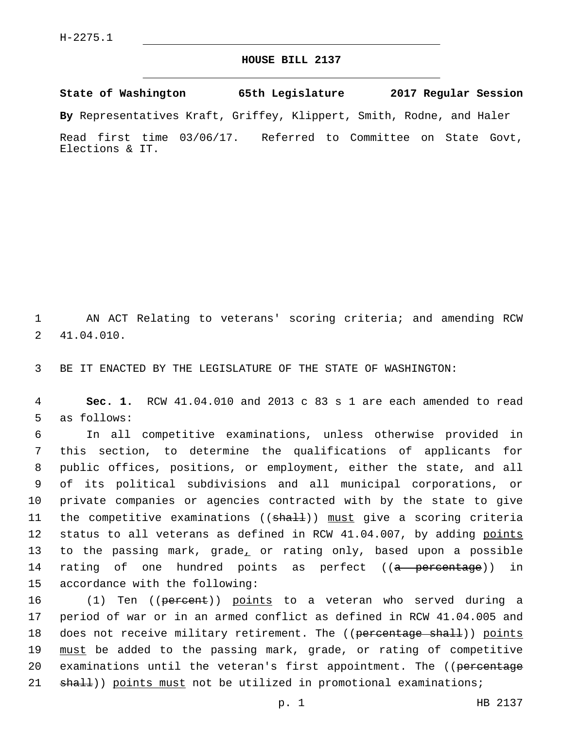## **HOUSE BILL 2137**

**State of Washington 65th Legislature 2017 Regular Session**

**By** Representatives Kraft, Griffey, Klippert, Smith, Rodne, and Haler

Read first time 03/06/17. Referred to Committee on State Govt, Elections & IT.

1 AN ACT Relating to veterans' scoring criteria; and amending RCW 41.04.010.2

3 BE IT ENACTED BY THE LEGISLATURE OF THE STATE OF WASHINGTON:

4 **Sec. 1.** RCW 41.04.010 and 2013 c 83 s 1 are each amended to read 5 as follows:

6 In all competitive examinations, unless otherwise provided in 7 this section, to determine the qualifications of applicants for 8 public offices, positions, or employment, either the state, and all 9 of its political subdivisions and all municipal corporations, or 10 private companies or agencies contracted with by the state to give 11 the competitive examinations ((<del>shall</del>)) must give a scoring criteria 12 status to all veterans as defined in RCW 41.04.007, by adding points 13 to the passing mark, grade, or rating only, based upon a possible 14 rating of one hundred points as perfect ((a percentage)) in 15 accordance with the following:

16 (1) Ten ((<del>percent</del>)) <u>points</u> to a veteran who served during a 17 period of war or in an armed conflict as defined in RCW 41.04.005 and 18 does not receive military retirement. The ((percentage shall)) points 19 must be added to the passing mark, grade, or rating of competitive 20 examinations until the veteran's first appointment. The ((percentage 21 shall)) points must not be utilized in promotional examinations;